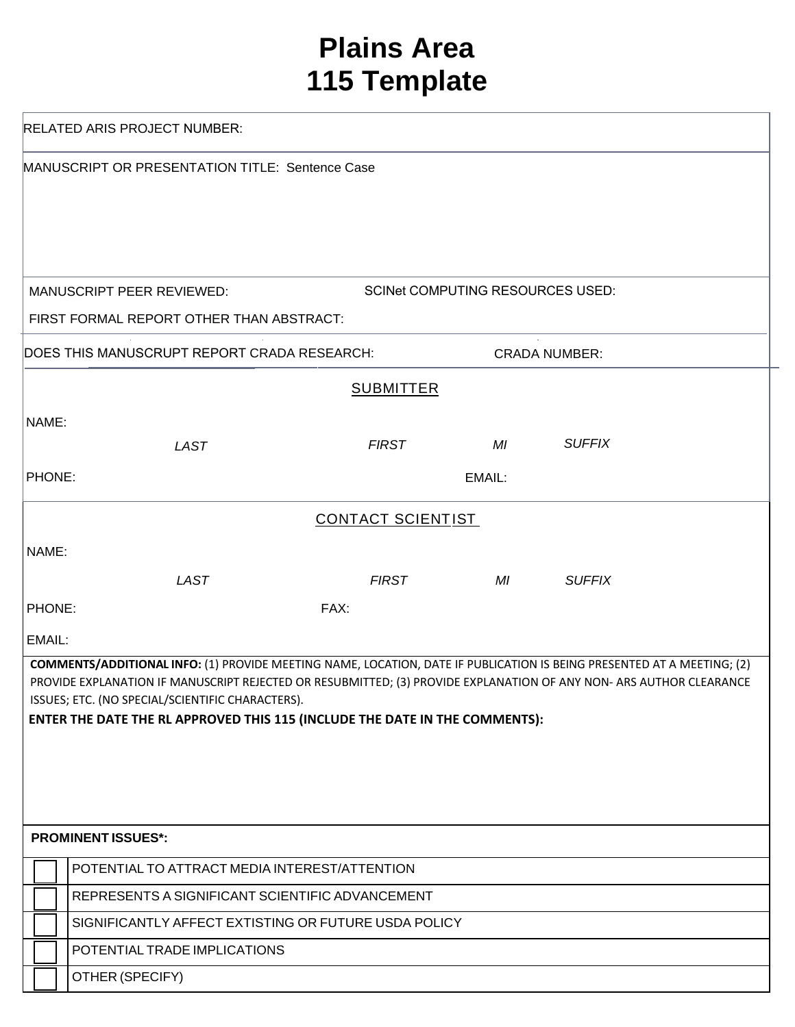## **Plains Area 115 Template**

| <b>RELATED ARIS PROJECT NUMBER:</b>                                 |                                                                                                                                                                                                                                              |                          |                                        |               |  |  |
|---------------------------------------------------------------------|----------------------------------------------------------------------------------------------------------------------------------------------------------------------------------------------------------------------------------------------|--------------------------|----------------------------------------|---------------|--|--|
| MANUSCRIPT OR PRESENTATION TITLE: Sentence Case                     |                                                                                                                                                                                                                                              |                          |                                        |               |  |  |
|                                                                     | <b>MANUSCRIPT PEER REVIEWED:</b>                                                                                                                                                                                                             |                          | <b>SCINE COMPUTING RESOURCES USED:</b> |               |  |  |
|                                                                     | FIRST FORMAL REPORT OTHER THAN ABSTRACT:                                                                                                                                                                                                     |                          |                                        |               |  |  |
| DOES THIS MANUSCRUPT REPORT CRADA RESEARCH:<br><b>CRADA NUMBER:</b> |                                                                                                                                                                                                                                              |                          |                                        |               |  |  |
|                                                                     |                                                                                                                                                                                                                                              | <b>SUBMITTER</b>         |                                        |               |  |  |
| NAME:                                                               |                                                                                                                                                                                                                                              |                          |                                        |               |  |  |
|                                                                     | <b>LAST</b>                                                                                                                                                                                                                                  | <b>FIRST</b>             | MI                                     | <b>SUFFIX</b> |  |  |
| <b>PHONE:</b>                                                       |                                                                                                                                                                                                                                              |                          | EMAIL:                                 |               |  |  |
|                                                                     |                                                                                                                                                                                                                                              | <b>CONTACT SCIENTIST</b> |                                        |               |  |  |
| NAME:                                                               |                                                                                                                                                                                                                                              |                          |                                        |               |  |  |
|                                                                     | <b>LAST</b>                                                                                                                                                                                                                                  | <b>FIRST</b>             | $MI$ and $M$                           | <b>SUFFIX</b> |  |  |
| PHONE:                                                              |                                                                                                                                                                                                                                              | FAX:                     |                                        |               |  |  |
| EMAIL:                                                              |                                                                                                                                                                                                                                              |                          |                                        |               |  |  |
|                                                                     | COMMENTS/ADDITIONAL INFO: (1) PROVIDE MEETING NAME, LOCATION, DATE IF PUBLICATION IS BEING PRESENTED AT A MEETING; (2)<br>PROVIDE EXPLANATION IF MANUSCRIPT REJECTED OR RESUBMITTED; (3) PROVIDE EXPLANATION OF ANY NON-ARS AUTHOR CLEARANCE |                          |                                        |               |  |  |
|                                                                     | ISSUES; ETC. (NO SPECIAL/SCIENTIFIC CHARACTERS).<br>ENTER THE DATE THE RL APPROVED THIS 115 (INCLUDE THE DATE IN THE COMMENTS):                                                                                                              |                          |                                        |               |  |  |
|                                                                     |                                                                                                                                                                                                                                              |                          |                                        |               |  |  |
|                                                                     |                                                                                                                                                                                                                                              |                          |                                        |               |  |  |
|                                                                     |                                                                                                                                                                                                                                              |                          |                                        |               |  |  |
| <b>PROMINENT ISSUES*:</b>                                           |                                                                                                                                                                                                                                              |                          |                                        |               |  |  |
|                                                                     |                                                                                                                                                                                                                                              |                          |                                        |               |  |  |
|                                                                     | POTENTIAL TO ATTRACT MEDIA INTEREST/ATTENTION<br>REPRESENTS A SIGNIFICANT SCIENTIFIC ADVANCEMENT                                                                                                                                             |                          |                                        |               |  |  |
| SIGNIFICANTLY AFFECT EXTISTING OR FUTURE USDA POLICY                |                                                                                                                                                                                                                                              |                          |                                        |               |  |  |
| POTENTIAL TRADE IMPLICATIONS                                        |                                                                                                                                                                                                                                              |                          |                                        |               |  |  |
|                                                                     | OTHER (SPECIFY)                                                                                                                                                                                                                              |                          |                                        |               |  |  |
|                                                                     |                                                                                                                                                                                                                                              |                          |                                        |               |  |  |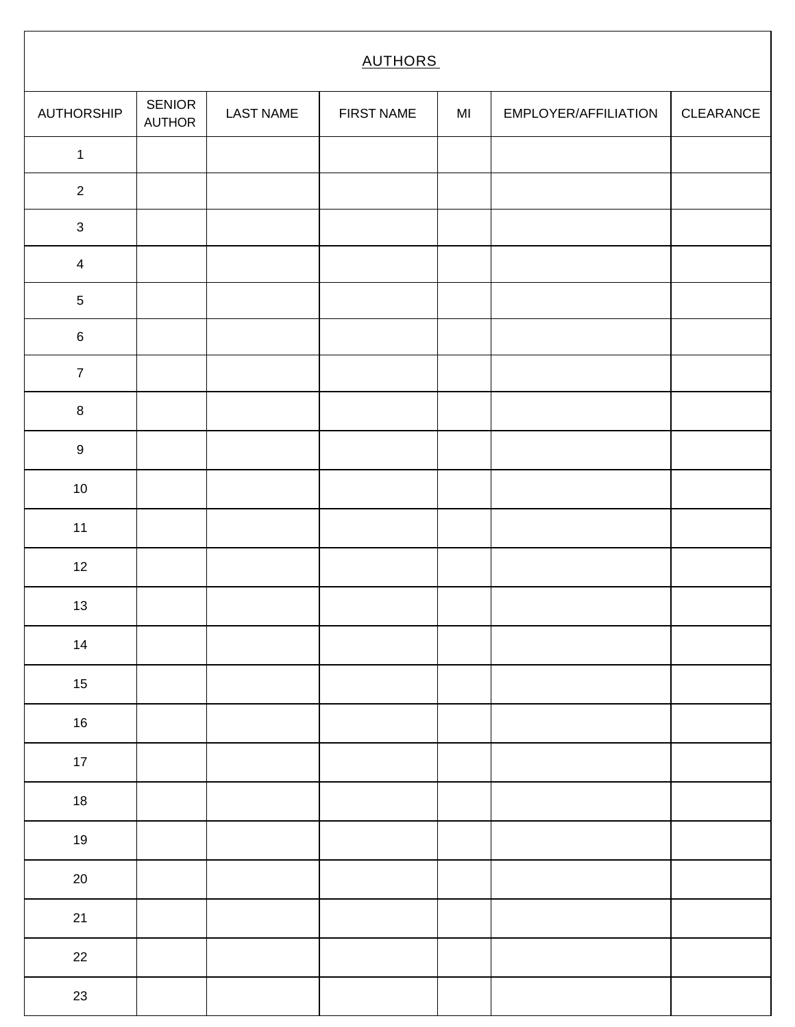| <b>AUTHORS</b>   |                         |                  |                   |    |                      |           |
|------------------|-------------------------|------------------|-------------------|----|----------------------|-----------|
| AUTHORSHIP       | <b>SENIOR</b><br>AUTHOR | <b>LAST NAME</b> | <b>FIRST NAME</b> | MI | EMPLOYER/AFFILIATION | CLEARANCE |
| $\mathbf 1$      |                         |                  |                   |    |                      |           |
| $\overline{2}$   |                         |                  |                   |    |                      |           |
| $\mathbf{3}$     |                         |                  |                   |    |                      |           |
| $\overline{4}$   |                         |                  |                   |    |                      |           |
| $\sqrt{5}$       |                         |                  |                   |    |                      |           |
| $\,6\,$          |                         |                  |                   |    |                      |           |
| $\overline{7}$   |                         |                  |                   |    |                      |           |
| $\, 8$           |                         |                  |                   |    |                      |           |
| $\boldsymbol{9}$ |                         |                  |                   |    |                      |           |
| $10\,$           |                         |                  |                   |    |                      |           |
| 11               |                         |                  |                   |    |                      |           |
| 12               |                         |                  |                   |    |                      |           |
| $13$             |                         |                  |                   |    |                      |           |
| 14               |                         |                  |                   |    |                      |           |
| $15\,$           |                         |                  |                   |    |                      |           |
| 16               |                         |                  |                   |    |                      |           |
| $17 \,$          |                         |                  |                   |    |                      |           |
| 18               |                         |                  |                   |    |                      |           |
| $19$             |                         |                  |                   |    |                      |           |
| $20\,$           |                         |                  |                   |    |                      |           |
| 21               |                         |                  |                   |    |                      |           |
| 22               |                         |                  |                   |    |                      |           |
| 23               |                         |                  |                   |    |                      |           |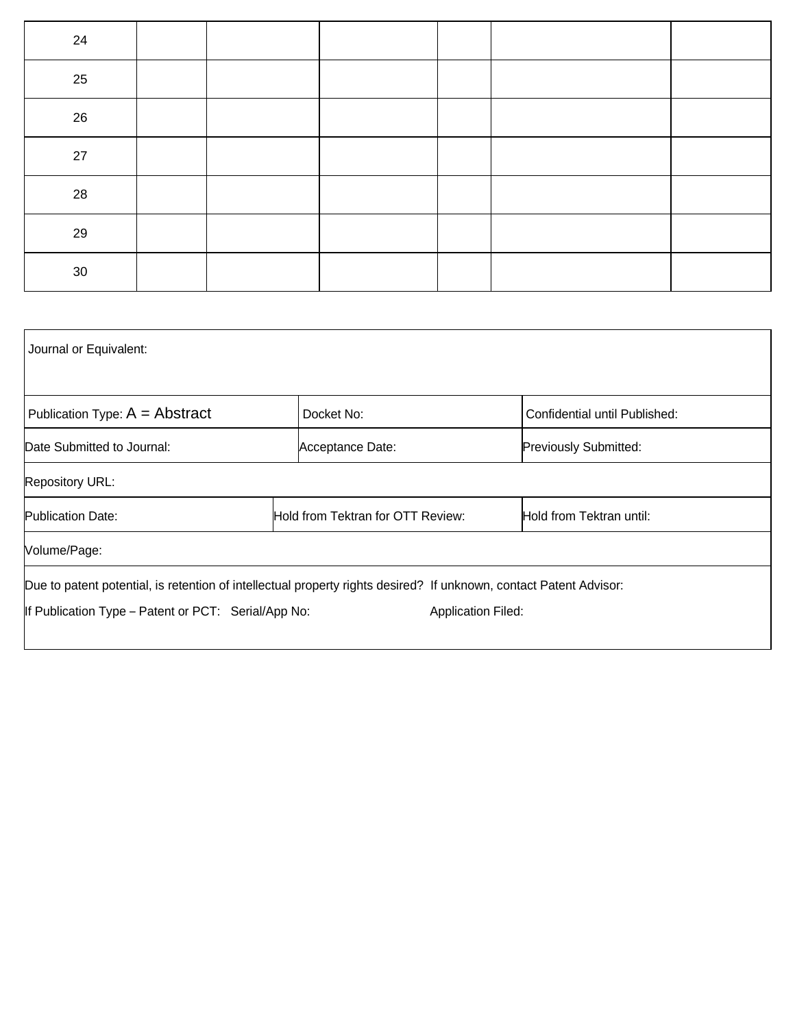| 24              |  |  |  |
|-----------------|--|--|--|
| 25              |  |  |  |
| 26              |  |  |  |
| 27              |  |  |  |
| 28              |  |  |  |
| 29              |  |  |  |
| 30 <sup>°</sup> |  |  |  |

| Journal or Equivalent:                              |                                                                                                                    |                               |  |  |
|-----------------------------------------------------|--------------------------------------------------------------------------------------------------------------------|-------------------------------|--|--|
| Publication Type: $A = Abstract$                    | Docket No:                                                                                                         | Confidential until Published: |  |  |
| Date Submitted to Journal:                          | Acceptance Date:                                                                                                   | <b>Previously Submitted:</b>  |  |  |
| <b>Repository URL:</b>                              |                                                                                                                    |                               |  |  |
| <b>Publication Date:</b>                            | Hold from Tektran for OTT Review:                                                                                  | Hold from Tektran until:      |  |  |
| Volume/Page:                                        |                                                                                                                    |                               |  |  |
|                                                     | Due to patent potential, is retention of intellectual property rights desired? If unknown, contact Patent Advisor: |                               |  |  |
| If Publication Type – Patent or PCT: Serial/App No: |                                                                                                                    | <b>Application Filed:</b>     |  |  |
|                                                     |                                                                                                                    |                               |  |  |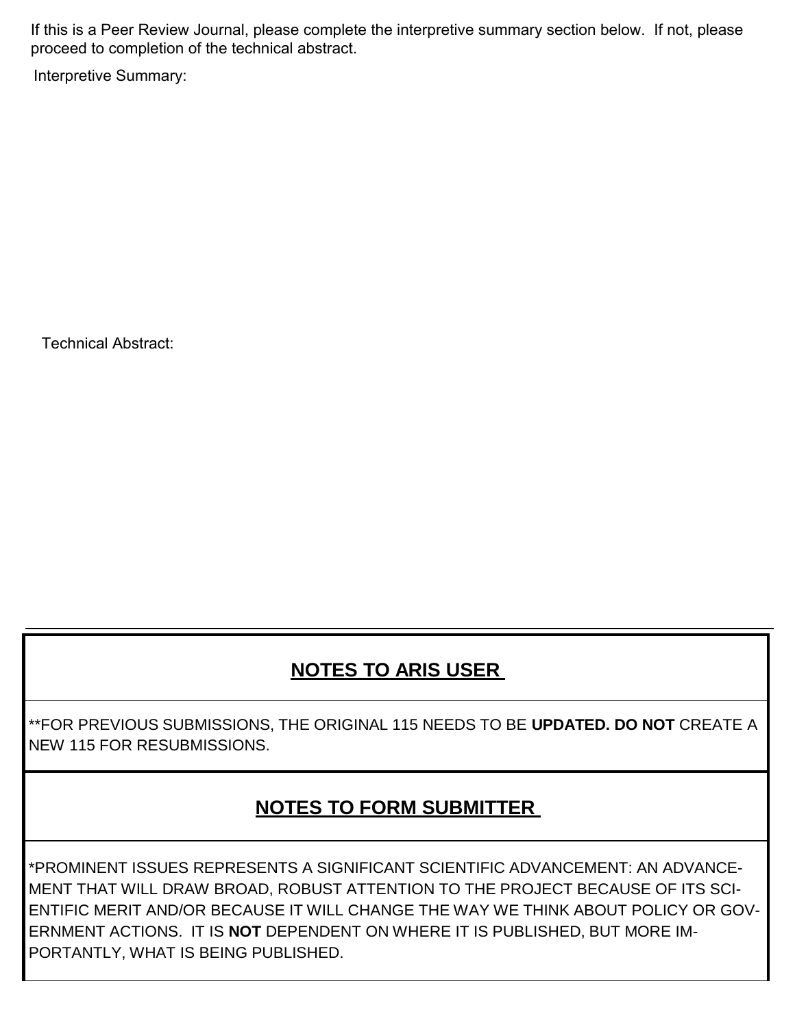If this is a Peer Review Journal, please complete the interpretive summary section below. If not, please proceed to completion of the technical abstract.

Interpretive Summary:

Technical Abstract:

## **NOTES TO ARIS USER**

\*\*FOR PREVIOUS SUBMISSIONS, THE ORIGINAL 115 NEEDS TO BE **UPDATED. DO NOT** CREATE A NEW 115 FOR RESUBMISSIONS.

## **NOTE S TO FORM SUBMITTER**

\*PROMINENT ISSUES REPRESENTS A SIGNIFICANT SCIENTIFIC ADVANCEMENT: AN ADVANCE-MENT THAT WILL DRAW BROAD, ROBUST ATTENTION TO THE PROJECT BECAUSE OF ITS SCI-ENTIFIC MERIT AND/OR BECAUSE IT WILL CHANGE THE WAY WE THINK ABOUT POLICY OR GOV-ERNMENT ACTIONS. IT IS **NOT** DEPENDENT ON WHERE IT IS PUBLISHED, BUT MORE IM-PORTANTLY, WHAT IS BEING PUBLISHED.